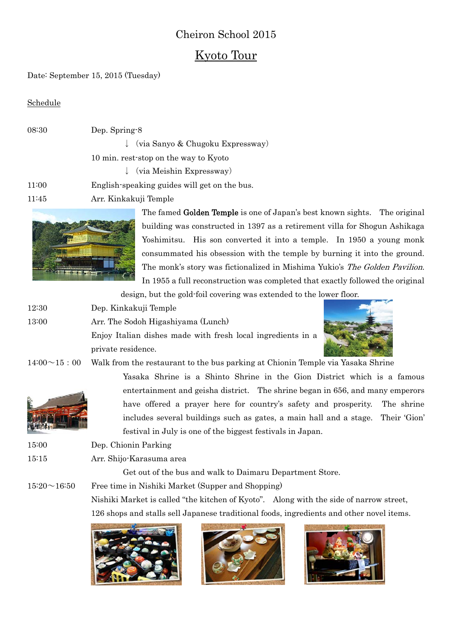# Cheiron School 2015

## Kyoto Tour

Date: September 15, 2015 (Tuesday)

Schedule

| 08:30 | Dep. Spring-8                                 |
|-------|-----------------------------------------------|
|       | $\downarrow$ (via Sanyo & Chugoku Expressway) |
|       | 10 min. rest-stop on the way to Kyoto         |
|       | $\downarrow$ (via Meishin Expressway)         |
| 11:00 | English-speaking guides will get on the bus.  |
| 11.45 | Arr Kinkokuji Tomplo                          |

11:45 Arr. Kinkakuji Temple



The famed Golden Temple is one of Japan's best known sights. The original building was constructed in 1397 as a retirement villa for Shogun Ashikaga Yoshimitsu. His son converted it into a temple. In 1950 a young monk consummated his obsession with the temple by burning it into the ground. The monk's story was fictionalized in Mishima Yukio's The Golden Pavilion. In 1955 a full reconstruction was completed that exactly followed the original

design, but the gold-foil covering was extended to the lower floor.

- 12:30 Dep. Kinkakuji Temple
- 13:00 Arr. The Sodoh Higashiyama (Lunch)

Enjoy Italian dishes made with fresh local ingredients in a private residence.



 $14:00 \sim 15:00$  Walk from the restaurant to the bus parking at Chionin Temple via Yasaka Shrine



Yasaka Shrine is a Shinto Shrine in the Gion District which is a famous entertainment and geisha district. The shrine began in 656, and many emperors have offered a prayer here for country's safety and prosperity. The shrine includes several buildings such as gates, a main hall and a stage. Their 'Gion' festival in July is one of the biggest festivals in Japan.

- 15:00 Dep. Chionin Parking
- 15:15 Arr. Shijo-Karasuma area

Get out of the bus and walk to Daimaru Department Store.

 $15:20 \sim 16:50$  Free time in Nishiki Market (Supper and Shopping)

Nishiki Market is called "the kitchen of Kyoto". Along with the side of narrow street, 126 shops and stalls sell Japanese traditional foods, ingredients and other novel items.